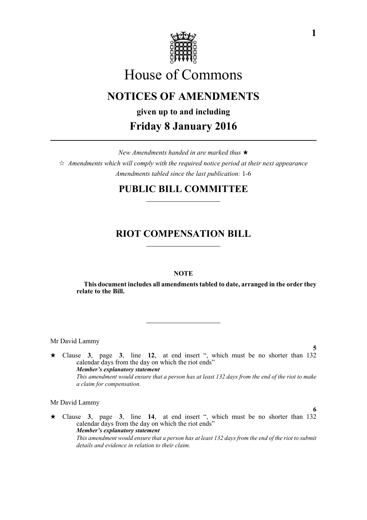

# House of Commons

## **NOTICES OF AMENDMENTS**

# **given up to and including Friday 8 January 2016**

*New Amendments handed in are marked thus*   $\hat{\varphi}$  Amendments which will comply with the required notice period at their next appearance *Amendments tabled since the last publication:* 1-6

### **PUBLIC BILL COMMITTEE**

### **RIOT COMPENSATION BILL**

### **NOTE**

**This document includes all amendments tabled to date, arranged in the order they relate to the Bill.**

Mr David Lammy

**5** Clause **3**, page **3**, line **12**, at end insert ", which must be no shorter than 132 calendar days from the day on which the riot ends" *Member's explanatory statement This amendment would ensure that a person has at least 132 days from the end of the riot to make a claim for compensation.*

Mr David Lammy

 Clause **3**, page **3**, line **14**, at end insert ", which must be no shorter than 132 calendar days from the day on which the riot ends" *Member's explanatory statement This amendment would ensure that a person has at least 132 days from the end of the riot to submit details and evidence in relation to their claim.* 

**6**